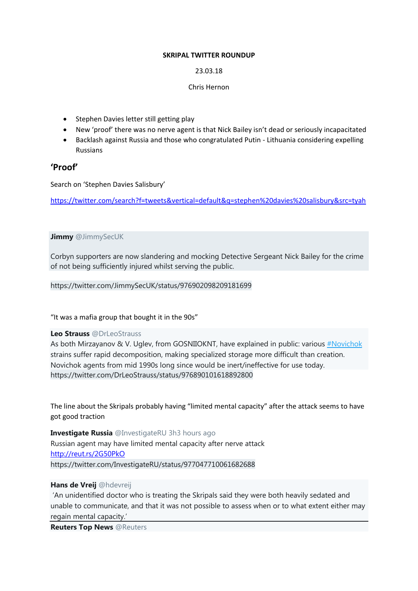#### **SKRIPAL TWITTER ROUNDUP**

### 23.03.18

# Chris Hernon

- Stephen Davies letter still getting play
- New 'proof' there was no nerve agent is that Nick Bailey isn't dead or seriously incapacitated
- Backlash against Russia and those who congratulated Putin Lithuania considering expelling Russians

# **'Proof'**

Search on 'Stephen Davies Salisbury'

<https://twitter.com/search?f=tweets&vertical=default&q=stephen%20davies%20salisbury&src=tyah>

# **Jimmy** [@JimmySecUK](https://twitter.com/JimmySecUK)

Corbyn supporters are now slandering and mocking Detective Sergeant Nick Bailey for the crime of not being sufficiently injured whilst serving the public.

https://twitter.com/JimmySecUK/status/976902098209181699

"It was a mafia group that bought it in the 90s"

### **Leo Strauss** [@DrLeoStrauss](https://twitter.com/DrLeoStrauss)

As both Mirzayanov & V. Uglev, from GOSNIIOKNT, have explained in public: various [#Novichok](https://twitter.com/hashtag/Novichok?src=hash) strains suffer rapid decomposition, making specialized storage more difficult than creation. Novichok agents from mid 1990s long since would be inert/ineffective for use today. https://twitter.com/DrLeoStrauss/status/976890101618892800

The line about the Skripals probably having "limited mental capacity" after the attack seems to have got good traction

**[Investigate Russia](https://twitter.com/InvestigateRU)** @InvestigateRU [3h3 hours ago](https://twitter.com/InvestigateRU/status/977047710061682688) Russian agent may have limited mental capacity after nerve attack <http://reut.rs/2G50PkO> https://twitter.com/InvestigateRU/status/977047710061682688

#### **[Hans de Vreij](https://twitter.com/hdevreij)** @hdevreij

"An unidentified doctor who is treating the Skripals said they were both heavily sedated and unable to communicate, and that it was not possible to assess when or to what extent either may regain mental capacity."

**Reuters Top News** @Reuters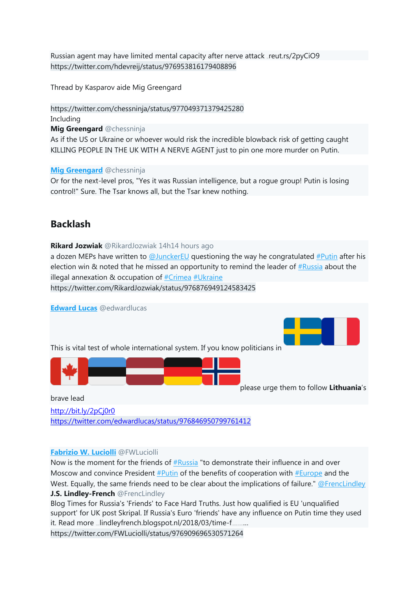Russian agent may have limited mental capacity after nerve attack reut.rs/2pyCiO9 https://twitter.com/hdevreij/status/976953816179408896

Thread by Kasparov aide Mig Greengard

https://twitter.com/chessninja/status/977049371379425280 Including **[Mig Greengard](https://twitter.com/chessninja)** @chessninja As if the US or Ukraine or whoever would risk the incredible blowback risk of getting caught KILLING PEOPLE IN THE UK WITH A NERVE AGENT just to pin one more murder on Putin.

# **[Mig Greengard](https://twitter.com/chessninja)** @chessninja

Or for the next-level pros, "Yes it was Russian intelligence, but a rogue group! Putin is losing control!" Sure. The Tsar knows all, but the Tsar knew nothing.

# **Backlash**

# **Rikard Jozwiak** [@RikardJozwiak](https://twitter.com/RikardJozwiak) [14h14 hours ago](https://twitter.com/RikardJozwiak/status/976876949124583425)

a dozen MEPs have written to [@JunckerEU](https://twitter.com/JunckerEU) questioning the way he congratulated [#Putin](https://twitter.com/hashtag/Putin?src=hash) after his election win & noted that he missed an opportunity to remind the leader of  $#Russia$  about the illegal annexation & occupation of  $#C$ rimea  $#U$ kraine

https://twitter.com/RikardJozwiak/status/976876949124583425

**Edward Lucas** [@edwardlucas](https://twitter.com/edwardlucas) This is vital test of whole international system. If you know politicians in please urge them to follow **Lithuania**"s brave lead

<http://bit.ly/2pCj0r0> <https://twitter.com/edwardlucas/status/976846950799761412>

# **[Fabrizio W. Luciolli](https://twitter.com/FWLuciolli)** @FWLuciolli

Now is the moment for the friends of [#Russia](https://twitter.com/hashtag/Russia?src=hash) "to demonstrate their influence in and over Moscow and convince President  $#Putin$  of the benefits of cooperation with  $#Europe$  and the West. Equally, the same friends need to be clear about the implications of failure." [@FrencLindley](https://twitter.com/FrencLindley) **J.S. Lindley-French @FrencLindley** 

Blog Times for Russia's 'Friends' to Face Hard Truths. Just how qualified is EU 'unqualified support' for UK post Skripal. If Russia's Euro 'friends' have any influence on Putin time they used it. Read more \_lindleyfrench.blogspot.nl/2018/03/time-f

https://twitter.com/FWLuciolli/status/976909696530571264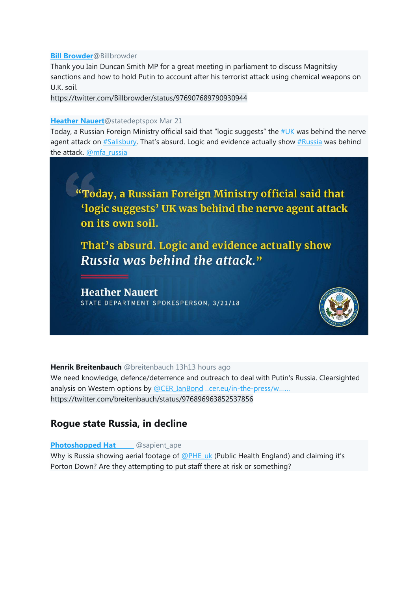#### **Bill Browder**[@Billbrowder](https://twitter.com/Billbrowder)

Thank you Iain Duncan Smith MP for a great meeting in parliament to discuss Magnitsky sanctions and how to hold Putin to account after his terrorist attack using chemical weapons on U.K. soil.

https://twitter.com/Billbrowder/status/976907689790930944

#### **[Heather Nauert](https://twitter.com/statedeptspox)**@statedeptspox [Mar 21](https://twitter.com/statedeptspox/status/976567224449290246)

Today, a Russian Foreign Ministry official said that "logic suggests" the  $\#UK$  $\#UK$  was behind the nerve agent attack on  $#Salisbury$ . That's absurd. Logic and evidence actually show  $#Russia$  was behind the attack. [@mfa\\_russia](https://twitter.com/mfa_russia)

"Today, a Russian Foreign Ministry official said that 'logic suggests' UK was behind the nerve agent attack on its own soil.

That's absurd. Logic and evidence actually show Russia was behind the attack."

**Heather Nauert** STATE DEPARTMENT SPOKESPERSON, 3/21/18



**[Henrik Breitenbauch](https://twitter.com/breitenbauch)** @breitenbauch [13h13 hours ago](https://twitter.com/breitenbauch/status/976896963852537856) We need knowledge, defence/deterrence and outreach to deal with Putin's Russia. Clearsighted analysis on Western options by [@CER\\_IanBond](https://twitter.com/CER_IanBond) \_[cer.eu/in-the-press/w](https://t.co/xETR2PZar5)..... https://twitter.com/breitenbauch/status/976896963852537856

# **Rogue state Russia, in decline**

**[Photoshopped Hat](https://twitter.com/sapient_ape)** @sapient\_ape

Why is Russia showing aerial footage of [@PHE\\_uk](https://twitter.com/PHE_uk) (Public Health England) and claiming it's Porton Down? Are they attempting to put staff there at risk or something?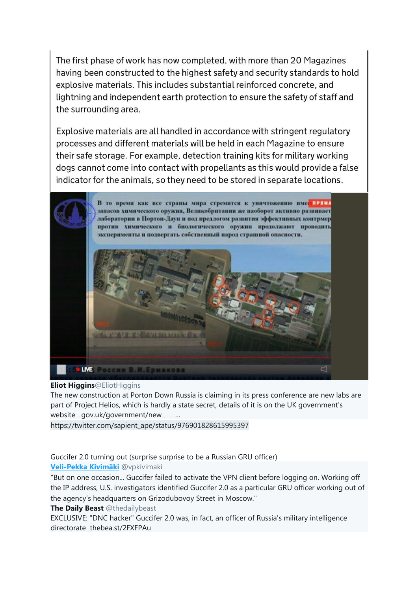The first phase of work has now completed, with more than 20 Magazines having been constructed to the highest safety and security standards to hold explosive materials. This includes substantial reinforced concrete, and lightning and independent earth protection to ensure the safety of staff and the surrounding area.

Explosive materials are all handled in accordance with stringent regulatory processes and different materials will be held in each Magazine to ensure their safe storage. For example, detection training kits for military working dogs cannot come into contact with propellants as this would provide a false indicator for the animals, so they need to be stored in separate locations.



# **Eliot Higgins**@EliotHiggins

The new construction at Porton Down Russia is claiming in its press conference are new labs are part of Project Helios, which is hardly a state secret, details of it is on the UK government's website\_gov.uk/government/new\_\_\_\_...

https://twitter.com/sapient\_ape/status/976901828615995397

Guccifer 2.0 turning out (surprise surprise to be a Russian GRU officer) **[Veli-Pekka Kivimäki](https://twitter.com/vpkivimaki)** @vpkivimaki

"But on one occasion... Guccifer failed to activate the VPN client before logging on. Working off the IP address, U.S. investigators identified Guccifer 2.0 as a particular GRU officer working out of the agency"s headquarters on Grizodubovoy Street in Moscow."

#### **The Daily Beast** @thedailybeast

EXCLUSIVE: "DNC hacker" Guccifer 2.0 was, in fact, an officer of Russia's military intelligence directorate\_thebea.st/2FXFPAu